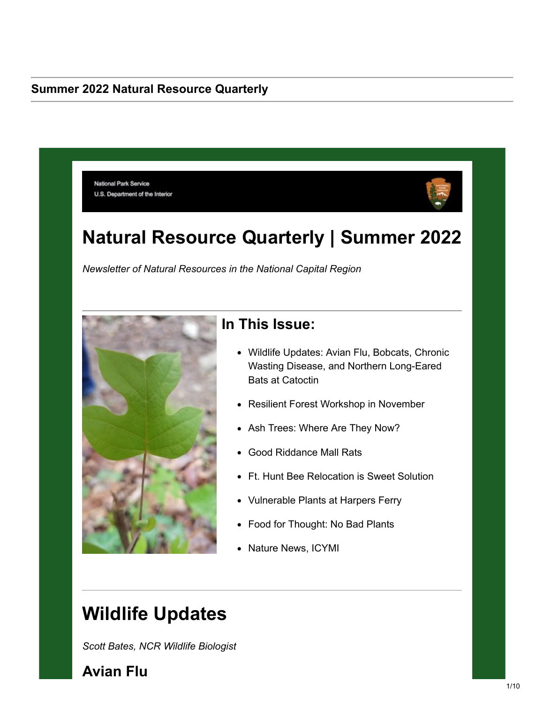#### **Summer 2022 Natural Resource Quarterly**

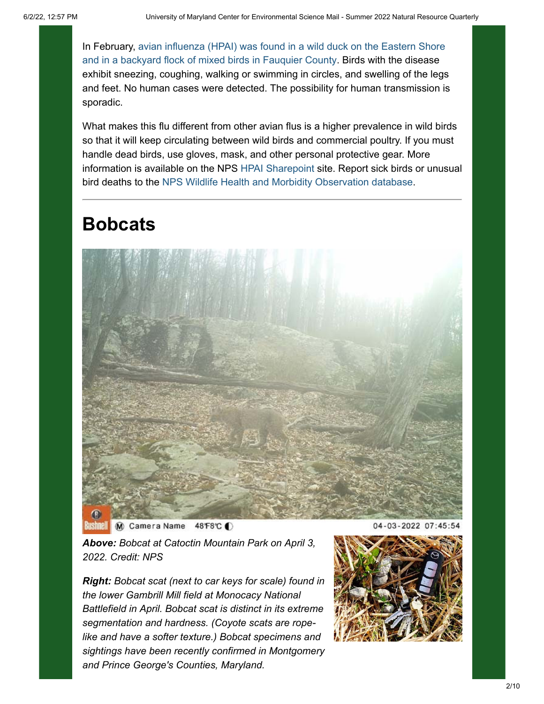[In February, avian influenza \(HPAI\) was found in a wild duck on the Eastern Shore](https://lnks.gd/l/eyJhbGciOiJIUzI1NiJ9.eyJidWxsZXRpbl9saW5rX2lkIjoxMDAsInVyaSI6ImJwMjpjbGljayIsImJ1bGxldGluX2lkIjoiMjAyMjA2MDEuNTg3NjMzNDEiLCJ1cmwiOiJodHRwczovL3d3dy5hcGhpcy51c2RhLmdvdi9hcGhpcy9uZXdzcm9vbS9zdGFrZWhvbGRlci1pbmZvL3NhX2J5X2RhdGUvc2EtMjAyMi9ocGFpLWt5LXZhLWZsb2Nrcz91dG1fbWVkaXVtPWVtYWlsJnV0bV9zb3VyY2U9Z292ZGVsaXZlcnkifQ.2KXSz7lEwrIl1rEeNNbJ3JdC7MyCFAkcV9XwXRK3UPU/s/2129004018/br/132247208125-l) and in a backyard flock of mixed birds in Fauquier County. Birds with the disease exhibit sneezing, coughing, walking or swimming in circles, and swelling of the legs and feet. No human cases were detected. The possibility for human transmission is sporadic.

What makes this flu different from other avian flus is a higher prevalence in wild birds so that it will keep circulating between wild birds and commercial poultry. If you must handle dead birds, use gloves, mask, and other personal protective gear. More information is available on the NPS [HPAI Sharepoint](https://doimspp.sharepoint.com/sites/nps-biologicalresourcesdivision/SitePages/Highly-Pathogenic-Avian-Influenza-(HPAI).aspx?CT=1653048498965&OR=Teams-HL&ovuser=0693b5ba-4b18-4d7b-9341-f32f400a5494%2Clshender%40nps.gov¶ms=eyJBcHBOYW1lIjoiVGVhbXMtRGVza3RvcCIsIkFwcFZlcnNpb24iOiIyNy8yMjA0MDExMTQxMyJ9&sdata=SGlDczEwbExETTZiYzAxSktWMzFZcStJOEhyRGdJQTdEbCs5NnRqUHlEYz0%3D&utm_medium=email&utm_source=govdelivery&xsdata=MDN8MDF8fDkyYWJhODk0NzdiYzQ2NGI5MDZhOGM0ZWIwZDliODEyfDA2OTNiNWJhNGIxODRkN2I5MzQxZjMyZjQwMGE1NDk0fDB8MHw2Mzc4NDM0NjM5NTY5NTQzNzl8R29vZHxWR1ZoYlhOVFpXTjFjbWwwZVZObGNuWnBZMlY4ZXlKV0lqb2lNQzR3TGpBd01EQWlMQ0pRSWpvaVYybHVNeklpTENKQlRpSTZJazkwYUdWeUlpd2lWMVFpT2pFeGZRPT0%3D) site. Report sick birds or unusual bird deaths to the [NPS Wildlife Health and Morbidity Observation database.](https://lnks.gd/l/eyJhbGciOiJIUzI1NiJ9.eyJidWxsZXRpbl9saW5rX2lkIjoxMDIsInVyaSI6ImJwMjpjbGljayIsImJ1bGxldGluX2lkIjoiMjAyMjA2MDEuNTg3NjMzNDEiLCJ1cmwiOiJodHRwczovL2lybWEubnBzLmdvdi9XSE1NTy8_dXRtX21lZGl1bT1lbWFpbCZ1dG1fc291cmNlPWdvdmRlbGl2ZXJ5In0.elbrQNJYWqHTUDK4xIrbAVrrc1xaLabeXfWqtuMs-1s/s/2129004018/br/132247208125-l)

# **Bobcats**



M Camera Name 48 F8℃ O

*Above: Bobcat at Catoctin Mountain Park on April 3, 2022. Credit: NPS*

*Right: Bobcat scat (next to car keys for scale) found in the lower Gambrill Mill field at Monocacy National Battlefield in April. Bobcat scat is distinct in its extreme segmentation and hardness. (Coyote scats are ropelike and have a softer texture.) Bobcat specimens and sightings have been recently confirmed in Montgomery and Prince George's Counties, Maryland.*

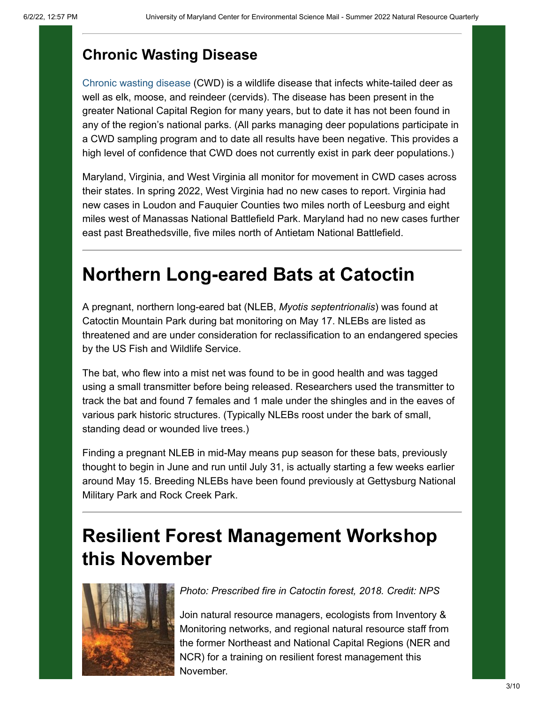#### **Chronic Wasting Disease**

[Chronic wasting disease](https://lnks.gd/l/eyJhbGciOiJIUzI1NiJ9.eyJidWxsZXRpbl9saW5rX2lkIjoxMDMsInVyaSI6ImJwMjpjbGljayIsImJ1bGxldGluX2lkIjoiMjAyMjA2MDEuNTg3NjMzNDEiLCJ1cmwiOiJodHRwczovL3d3dy5ucHMuZ292L2FydGljbGVzL2N3ZC5odG0_dXRtX21lZGl1bT1lbWFpbCZ1dG1fc291cmNlPWdvdmRlbGl2ZXJ5In0.NJCQGvDuZ2oUIvQ1r2ncSFpmbyN0WwOthpAixdIMCFo/s/2129004018/br/132247208125-l) (CWD) is a wildlife disease that infects white-tailed deer as well as elk, moose, and reindeer (cervids). The disease has been present in the greater National Capital Region for many years, but to date it has not been found in any of the region's national parks. (All parks managing deer populations participate in a CWD sampling program and to date all results have been negative. This provides a high level of confidence that CWD does not currently exist in park deer populations.)

Maryland, Virginia, and West Virginia all monitor for movement in CWD cases across their states. In spring 2022, West Virginia had no new cases to report. Virginia had new cases in Loudon and Fauquier Counties two miles north of Leesburg and eight miles west of Manassas National Battlefield Park. Maryland had no new cases further east past Breathedsville, five miles north of Antietam National Battlefield.

## **Northern Long-eared Bats at Catoctin**

A pregnant, northern long-eared bat (NLEB, *Myotis septentrionalis*) was found at Catoctin Mountain Park during bat monitoring on May 17. NLEBs are listed as threatened and are under consideration for reclassification to an endangered species by the US Fish and Wildlife Service.

The bat, who flew into a mist net was found to be in good health and was tagged using a small transmitter before being released. Researchers used the transmitter to track the bat and found 7 females and 1 male under the shingles and in the eaves of various park historic structures. (Typically NLEBs roost under the bark of small, standing dead or wounded live trees.)

Finding a pregnant NLEB in mid-May means pup season for these bats, previously thought to begin in June and run until July 31, is actually starting a few weeks earlier around May 15. Breeding NLEBs have been found previously at Gettysburg National Military Park and Rock Creek Park.

## **Resilient Forest Management Workshop this November**



*Photo: Prescribed fire in Catoctin forest, 2018. Credit: NPS*

Join natural resource managers, ecologists from Inventory & Monitoring networks, and regional natural resource staff from the former Northeast and National Capital Regions (NER and NCR) for a training on resilient forest management this November.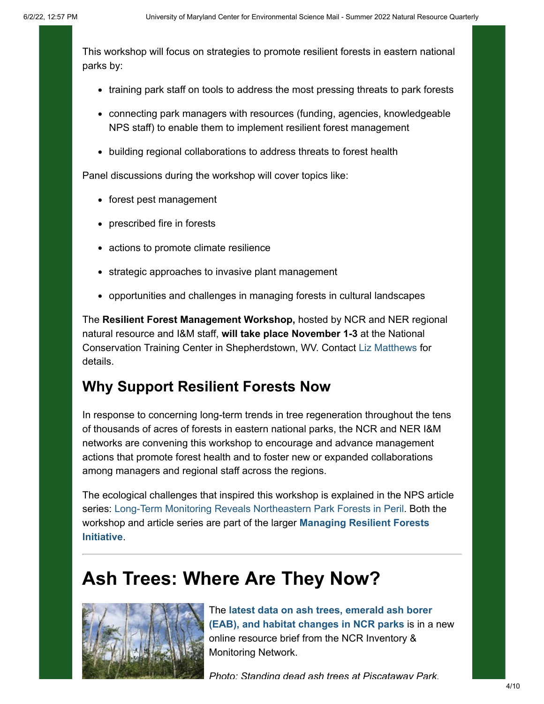This workshop will focus on strategies to promote resilient forests in eastern national parks by:

- training park staff on tools to address the most pressing threats to park forests
- connecting park managers with resources (funding, agencies, knowledgeable NPS staff) to enable them to implement resilient forest management
- building regional collaborations to address threats to forest health

Panel discussions during the workshop will cover topics like:

- forest pest management
- prescribed fire in forests
- actions to promote climate resilience
- strategic approaches to invasive plant management
- opportunities and challenges in managing forests in cultural landscapes

The **Resilient Forest Management Workshop,** hosted by NCR and NER regional natural resource and I&M staff, **will take place November 1-3** at the National Conservation Training Center in Shepherdstown, WV. Contact [Liz Matthews](mailto:Elizabeth_Matthews@nps.gov) for details.

#### **Why Support Resilient Forests Now**

In response to concerning long-term trends in tree regeneration throughout the tens of thousands of acres of forests in eastern national parks, the NCR and NER I&M networks are convening this workshop to encourage and advance management actions that promote forest health and to foster new or expanded collaborations among managers and regional staff across the regions.

The ecological challenges that inspired this workshop is explained in the NPS article series: [Long-Term Monitoring Reveals Northeastern Park Forests in Peril.](https://lnks.gd/l/eyJhbGciOiJIUzI1NiJ9.eyJidWxsZXRpbl9saW5rX2lkIjoxMDQsInVyaSI6ImJwMjpjbGljayIsImJ1bGxldGluX2lkIjoiMjAyMjA2MDEuNTg3NjMzNDEiLCJ1cmwiOiJodHRwczovL3d3dy5ucHMuZ292L2FydGljbGVzL3Nlcmllcy5odG0_aWQ9QjlDNkI3NTEtQTdFMy1GMjQ2LTU2MjgzODlBMEI4MEE0RjcmdXRtX21lZGl1bT1lbWFpbCZ1dG1fc291cmNlPWdvdmRlbGl2ZXJ5In0.2zm_9kTh4hv2ot--eIwM51raGYbE7idCefsqHlxOb-o/s/2129004018/br/132247208125-l) Both the [workshop and article series are part of the larger](https://lnks.gd/l/eyJhbGciOiJIUzI1NiJ9.eyJidWxsZXRpbl9saW5rX2lkIjoxMDUsInVyaSI6ImJwMjpjbGljayIsImJ1bGxldGluX2lkIjoiMjAyMjA2MDEuNTg3NjMzNDEiLCJ1cmwiOiJodHRwczovL3d3dy5ucHMuZ292L2FydGljbGVzLzAwMC9pLW0tbmV0d29ya3Mtc3VwcG9ydC1yZXNpbGllbnQtZm9yZXN0LW1hbmFnZW1lbnQuaHRtP3V0bV9tZWRpdW09ZW1haWwmdXRtX3NvdXJjZT1nb3ZkZWxpdmVyeSJ9.2FPbmHdljkppcc0mPC0GV5LN2SPqiqHrLU2N7GaqYPI/s/2129004018/br/132247208125-l) **Managing Resilient Forests Initiative**.

### **Ash Trees: Where Are They Now?**



The **[latest data on ash trees, emerald ash borer](https://lnks.gd/l/eyJhbGciOiJIUzI1NiJ9.eyJidWxsZXRpbl9saW5rX2lkIjoxMDYsInVyaSI6ImJwMjpjbGljayIsImJ1bGxldGluX2lkIjoiMjAyMjA2MDEuNTg3NjMzNDEiLCJ1cmwiOiJodHRwczovL3d3dy5ucHMuZ292L2FydGljbGVzLzAwMC9hc2gtdHJlZS11cGRhdGUtMjAyMS5odG0_dXRtX21lZGl1bT1lbWFpbCZ1dG1fc291cmNlPWdvdmRlbGl2ZXJ5In0.ahlWoL6mFsYUvRsWow75LhNFfA85rANGNYO9hRsFd8M/s/2129004018/br/132247208125-l) (EAB), and habitat changes in NCR parks** is in a new online resource brief from the NCR Inventory & Monitoring Network.

*Photo: Standing dead ash trees at Piscataway Park.*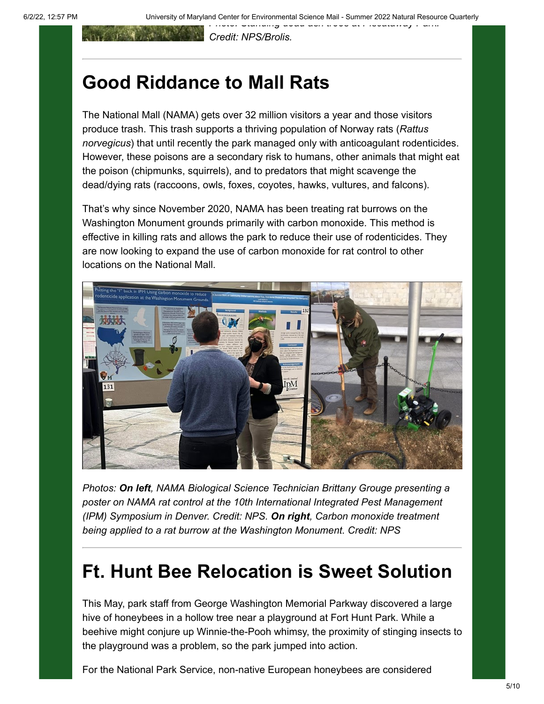*Credit: NPS/Brolis.*

### **Good Riddance to Mall Rats**

The National Mall (NAMA) gets over 32 million visitors a year and those visitors produce trash. This trash supports a thriving population of Norway rats (*Rattus norvegicus*) that until recently the park managed only with anticoagulant rodenticides. However, these poisons are a secondary risk to humans, other animals that might eat the poison (chipmunks, squirrels), and to predators that might scavenge the dead/dying rats (raccoons, owls, foxes, coyotes, hawks, vultures, and falcons).

That's why since November 2020, NAMA has been treating rat burrows on the Washington Monument grounds primarily with carbon monoxide. This method is effective in killing rats and allows the park to reduce their use of rodenticides. They are now looking to expand the use of carbon monoxide for rat control to other locations on the National Mall.



*Photos: On left, NAMA Biological Science Technician Brittany Grouge presenting a poster on NAMA rat control at the 10th International Integrated Pest Management (IPM) Symposium in Denver. Credit: NPS. On right, Carbon monoxide treatment being applied to a rat burrow at the Washington Monument. Credit: NPS*

## **Ft. Hunt Bee Relocation is Sweet Solution**

This May, park staff from George Washington Memorial Parkway discovered a large hive of honeybees in a hollow tree near a playground at Fort Hunt Park. While a beehive might conjure up Winnie-the-Pooh whimsy, the proximity of stinging insects to the playground was a problem, so the park jumped into action.

For the National Park Service, non-native European honeybees are considered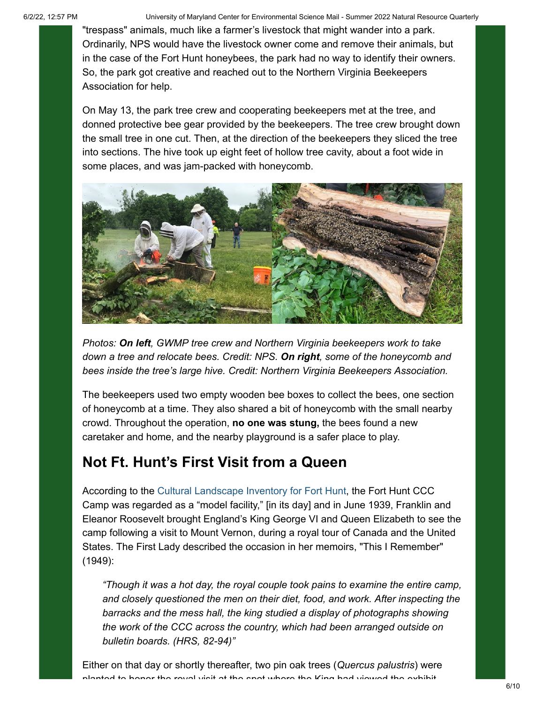6/2/22, 12:57 PM University of Maryland Center for Environmental Science Mail - Summer 2022 Natural Resource Quarterly

"trespass" animals, much like a farmer's livestock that might wander into a park. Ordinarily, NPS would have the livestock owner come and remove their animals, but in the case of the Fort Hunt honeybees, the park had no way to identify their owners. So, the park got creative and reached out to the Northern Virginia Beekeepers Association for help.

On May 13, the park tree crew and cooperating beekeepers met at the tree, and donned protective bee gear provided by the beekeepers. The tree crew brought down the small tree in one cut. Then, at the direction of the beekeepers they sliced the tree into sections. The hive took up eight feet of hollow tree cavity, about a foot wide in some places, and was jam-packed with honeycomb.



*Photos: On left, GWMP tree crew and Northern Virginia beekeepers work to take down a tree and relocate bees. Credit: NPS. On right, some of the honeycomb and bees inside the tree's large hive. Credit: Northern Virginia Beekeepers Association.*

The beekeepers used two empty wooden bee boxes to collect the bees, one section of honeycomb at a time. They also shared a bit of honeycomb with the small nearby crowd. Throughout the operation, **no one was stung,** the bees found a new caretaker and home, and the nearby playground is a safer place to play.

#### **Not Ft. Hunt's First Visit from a Queen**

According to the [Cultural Landscape Inventory for Fort Hunt,](https://lnks.gd/l/eyJhbGciOiJIUzI1NiJ9.eyJidWxsZXRpbl9saW5rX2lkIjoxMDcsInVyaSI6ImJwMjpjbGljayIsImJ1bGxldGluX2lkIjoiMjAyMjA2MDEuNTg3NjMzNDEiLCJ1cmwiOiJodHRwczovL2lybWEubnBzLmdvdi9EYXRhU3RvcmUvUmVmZXJlbmNlL1Byb2ZpbGUvMjE4NDY1NT91dG1fbWVkaXVtPWVtYWlsJnV0bV9zb3VyY2U9Z292ZGVsaXZlcnkifQ.2MNNf8KvVNSG-ONoj9llRAf-FUpqNM1bwtrYjfKatJ8/s/2129004018/br/132247208125-l) the Fort Hunt CCC Camp was regarded as a "model facility," [in its day] and in June 1939, Franklin and Eleanor Roosevelt brought England's King George VI and Queen Elizabeth to see the camp following a visit to Mount Vernon, during a royal tour of Canada and the United States. The First Lady described the occasion in her memoirs, "This I Remember" (1949):

*"Though it was a hot day, the royal couple took pains to examine the entire camp, and closely questioned the men on their diet, food, and work. After inspecting the barracks and the mess hall, the king studied a display of photographs showing the work of the CCC across the country, which had been arranged outside on bulletin boards. (HRS, 82-94)"*

Either on that day or shortly thereafter, two pin oak trees (*Quercus palustris*) were planted to honor the royal visit at the spot where the King had viewed the exhibit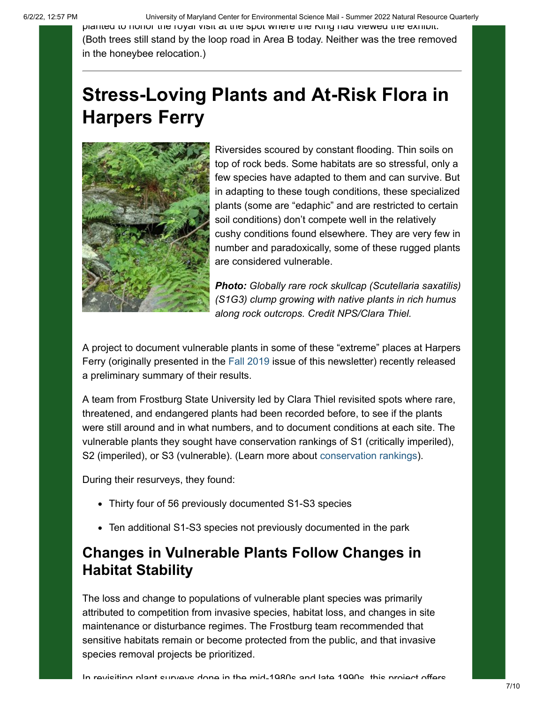6/2/22, 12:57 PM University of Maryland Center for Environmental Science Mail - Summer 2022 Natural Resource Quarterly

planted to honor the royal visit at the spot where the King had viewed the exhibit. (Both trees still stand by the loop road in Area B today. Neither was the tree removed in the honeybee relocation.)

## **Stress-Loving Plants and At-Risk Flora in Harpers Ferry**



Riversides scoured by constant flooding. Thin soils on top of rock beds. Some habitats are so stressful, only a few species have adapted to them and can survive. But in adapting to these tough conditions, these specialized plants (some are "edaphic" and are restricted to certain soil conditions) don't compete well in the relatively cushy conditions found elsewhere. They are very few in number and paradoxically, some of these rugged plants are considered vulnerable.

*Photo: Globally rare rock skullcap (Scutellaria saxatilis) (S1G3) clump growing with native plants in rich humus along rock outcrops. Credit NPS/Clara Thiel.*

A project to document vulnerable plants in some of these "extreme" places at Harpers Ferry (originally presented in the [Fall 2019](https://lnks.gd/l/eyJhbGciOiJIUzI1NiJ9.eyJidWxsZXRpbl9saW5rX2lkIjoxMDgsInVyaSI6ImJwMjpjbGljayIsImJ1bGxldGluX2lkIjoiMjAyMjA2MDEuNTg3NjMzNDEiLCJ1cmwiOiJodHRwczovL215ZW1haWwuY29uc3RhbnRjb250YWN0LmNvbS9GYWxsLU5hdHVyYWwtUmVzb3VyY2UtUXVhcnRlcmx5Lmh0bWw_YWlkPXptajhZRk02U2F3JnNvaWQ9MTEyODIxNjA5OTE5NCZ1dG1fbWVkaXVtPWVtYWlsJnV0bV9zb3VyY2U9Z292ZGVsaXZlcnkifQ.ZwEup3gVufT2XsKtFLwcvGdlbd-p1-LBZVzurLVlYIU/s/2129004018/br/132247208125-l) issue of this newsletter) recently released a preliminary summary of their results.

A team from Frostburg State University led by Clara Thiel revisited spots where rare, threatened, and endangered plants had been recorded before, to see if the plants were still around and in what numbers, and to document conditions at each site. The vulnerable plants they sought have conservation rankings of S1 (critically imperiled), S2 (imperiled), or S3 (vulnerable). (Learn more about [conservation rankings\)](https://lnks.gd/l/eyJhbGciOiJIUzI1NiJ9.eyJidWxsZXRpbl9saW5rX2lkIjoxMDksInVyaSI6ImJwMjpjbGljayIsImJ1bGxldGluX2lkIjoiMjAyMjA2MDEuNTg3NjMzNDEiLCJ1cmwiOiJodHRwczovL3d3dy5uYXR1cmVzZXJ2ZS5vcmcvbnNleHBsb3Jlci9hYm91dC10aGUtZGF0YS9zdGF0dXNlcz91dG1fbWVkaXVtPWVtYWlsJnV0bV9zb3VyY2U9Z292ZGVsaXZlcnkifQ.CwwV-EiqmVUg5Ze3Qxb2AEsQVA2HtXWEVWlFp96V2Vg/s/2129004018/br/132247208125-l).

During their resurveys, they found:

- Thirty four of 56 previously documented S1-S3 species
- Ten additional S1-S3 species not previously documented in the park

#### **Changes in Vulnerable Plants Follow Changes in Habitat Stability**

The loss and change to populations of vulnerable plant species was primarily attributed to competition from invasive species, habitat loss, and changes in site maintenance or disturbance regimes. The Frostburg team recommended that sensitive habitats remain or become protected from the public, and that invasive species removal projects be prioritized.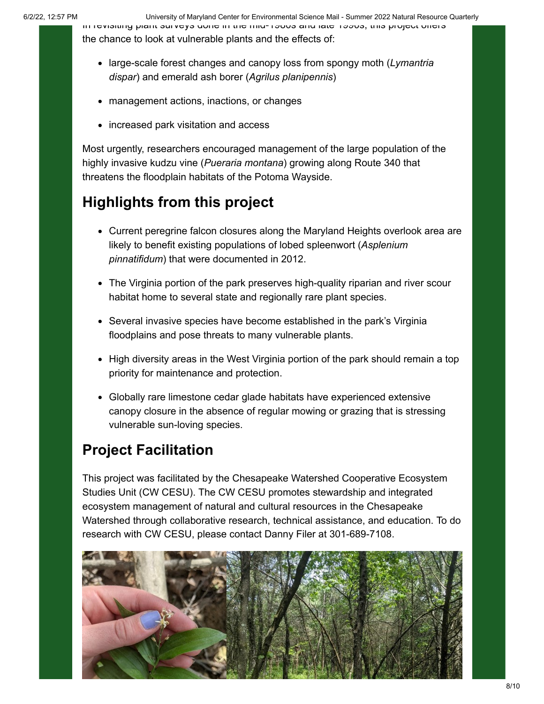6/2/22, 12:57 PM University of Maryland Center for Environmental Science Mail - Summer 2022 Natural Resource Quarterly

In revisiting plant surveys done in the mid-1980s and late 1990s, this project offers the chance to look at vulnerable plants and the effects of:

- large-scale forest changes and canopy loss from spongy moth (*Lymantria dispar*) and emerald ash borer (*Agrilus planipennis*)
- management actions, inactions, or changes
- increased park visitation and access

Most urgently, researchers encouraged management of the large population of the highly invasive kudzu vine (*Pueraria montana*) growing along Route 340 that threatens the floodplain habitats of the Potoma Wayside.

### **Highlights from this project**

- Current peregrine falcon closures along the Maryland Heights overlook area are likely to benefit existing populations of lobed spleenwort (*Asplenium pinnatifidum*) that were documented in 2012.
- The Virginia portion of the park preserves high-quality riparian and river scour habitat home to several state and regionally rare plant species.
- Several invasive species have become established in the park's Virginia floodplains and pose threats to many vulnerable plants.
- High diversity areas in the West Virginia portion of the park should remain a top priority for maintenance and protection.
- Globally rare limestone cedar glade habitats have experienced extensive canopy closure in the absence of regular mowing or grazing that is stressing vulnerable sun-loving species.

#### **Project Facilitation**

This project was facilitated by the Chesapeake Watershed Cooperative Ecosystem Studies Unit (CW CESU). The CW CESU promotes stewardship and integrated ecosystem management of natural and cultural resources in the Chesapeake Watershed through collaborative research, technical assistance, and education. To do research with CW CESU, please contact Danny Filer at 301-689-7108.

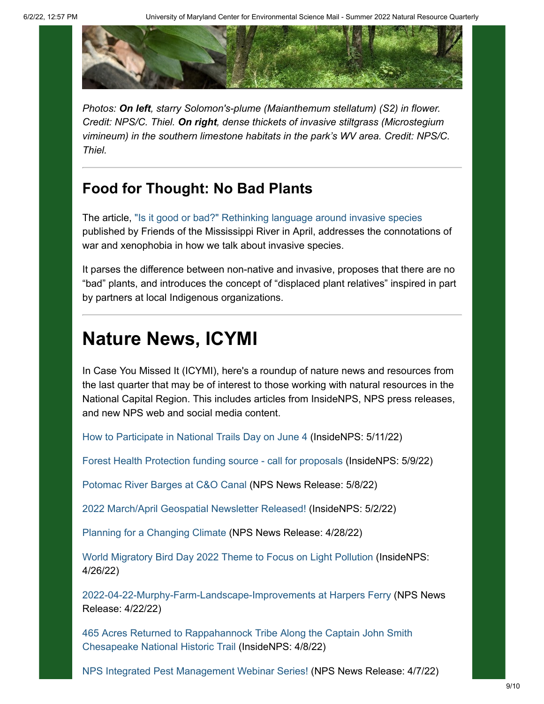

*Photos: On left, starry Solomon's-plume (Maianthemum stellatum) (S2) in flower. Credit: NPS/C. Thiel. On right, dense thickets of invasive stiltgrass (Microstegium vimineum) in the southern limestone habitats in the park's WV area. Credit: NPS/C. Thiel.*

#### **Food for Thought: No Bad Plants**

The article, ["Is it good or bad?" Rethinking language around invasive species](https://lnks.gd/l/eyJhbGciOiJIUzI1NiJ9.eyJidWxsZXRpbl9saW5rX2lkIjoxMTAsInVyaSI6ImJwMjpjbGljayIsImJ1bGxldGluX2lkIjoiMjAyMjA2MDEuNTg3NjMzNDEiLCJ1cmwiOiJodHRwczovL2Ztci5vcmcvY29uc2VydmF0aW9uLXVwZGF0ZXMvaXQtZ29vZC1vci1iYWQtcmV0aGlua2luZy1vdXItbGFuZ3VhZ2UtYXJvdW5kLWludmFzaXZlLXNwZWNpZXM_dXRtX21lZGl1bT1lbWFpbCZ1dG1fc291cmNlPWdvdmRlbGl2ZXJ5In0.zjPsTif7ouEzrqjFYzcTvdLPHVxZmkcouS_nsSm_bLg/s/2129004018/br/132247208125-l) published by Friends of the Mississippi River in April, addresses the connotations of war and xenophobia in how we talk about invasive species.

It parses the difference between non-native and invasive, proposes that there are no "bad" plants, and introduces the concept of "displaced plant relatives" inspired in part by partners at local Indigenous organizations.

### **Nature News, ICYMI**

In Case You Missed It (ICYMI), here's a roundup of nature news and resources from the last quarter that may be of interest to those working with natural resources in the National Capital Region. This includes articles from InsideNPS, NPS press releases, and new NPS web and social media content.

[How to Participate in National Trails Day on June 4](https://lnks.gd/l/eyJhbGciOiJIUzI1NiJ9.eyJidWxsZXRpbl9saW5rX2lkIjoxMTEsInVyaSI6ImJwMjpjbGljayIsImJ1bGxldGluX2lkIjoiMjAyMjA2MDEuNTg3NjMzNDEiLCJ1cmwiOiJodHRwczovL2RvaW1zcHAuc2hhcmVwb2ludC5jb20vc2l0ZXMvbnBzLUluc2lkZU5QUy9TaXRlUGFnZXMvSG93LXRvLXBhcnRpY2lwYXRlLWluLU5hdGlvbmFsLVRyYWlscy1EYXkuYXNweD91dG1fbWVkaXVtPWVtYWlsJnV0bV9zb3VyY2U9Z292ZGVsaXZlcnkifQ.LfQHTPK6MO5I20Hz5J0zaSPBmXSuEF8j1injPpkNDTc/s/2129004018/br/132247208125-l) (InsideNPS: 5/11/22)

[Forest Health Protection funding source - call for proposals](https://lnks.gd/l/eyJhbGciOiJIUzI1NiJ9.eyJidWxsZXRpbl9saW5rX2lkIjoxMTIsInVyaSI6ImJwMjpjbGljayIsImJ1bGxldGluX2lkIjoiMjAyMjA2MDEuNTg3NjMzNDEiLCJ1cmwiOiJodHRwczovL2RvaW1zcHAuc2hhcmVwb2ludC5jb20vc2l0ZXMvbnBzLUluc2lkZU5QUy9TaXRlUGFnZXMvRm9yZXN0LUhlYWx0aC1Qcm90ZWN0aW9uLUZ1bmRpbmctU291cmNlLSVFMiU4MCU5NC1DYWxsLWZvci1Qcm9wb3NhbHMuYXNweD91dG1fbWVkaXVtPWVtYWlsJnV0bV9zb3VyY2U9Z292ZGVsaXZlcnkifQ.NWWf-6OLT4MTevQlYFP8O0Z9amEhImWM1nulprRZCbE/s/2129004018/br/132247208125-l) (InsideNPS: 5/9/22)

[Potomac River Barges at C&O Canal](https://lnks.gd/l/eyJhbGciOiJIUzI1NiJ9.eyJidWxsZXRpbl9saW5rX2lkIjoxMTMsInVyaSI6ImJwMjpjbGljayIsImJ1bGxldGluX2lkIjoiMjAyMjA2MDEuNTg3NjMzNDEiLCJ1cmwiOiJodHRwczovL3d3dy5ucHMuZ292L2Nob2gvbGVhcm4vbmV3cy8yMDIyLTA1XzA4LWJhcmdlcy5odG0_dXRtX21lZGl1bT1lbWFpbCZ1dG1fc291cmNlPWdvdmRlbGl2ZXJ5In0.qz6-mGW7nYkYy9q5tgPAYHYA2c_VRXxOMwv4RhQHvLE/s/2129004018/br/132247208125-l) (NPS News Release: 5/8/22)

[2022 March/April Geospatial Newsletter Released!](https://lnks.gd/l/eyJhbGciOiJIUzI1NiJ9.eyJidWxsZXRpbl9saW5rX2lkIjoxMTQsInVyaSI6ImJwMjpjbGljayIsImJ1bGxldGluX2lkIjoiMjAyMjA2MDEuNTg3NjMzNDEiLCJ1cmwiOiJodHRwczovL2RvaW1zcHAuc2hhcmVwb2ludC5jb20vc2l0ZXMvbnBzLUluc2lkZU5QUy9TaXRlUGFnZXMvTWFyY2gtQXByaWwtR2Vvc3BhdGlhbC1OZXdzbGV0dGVyLVJlbGVhc2VkIS5hc3B4P3V0bV9tZWRpdW09ZW1haWwmdXRtX3NvdXJjZT1nb3ZkZWxpdmVyeSJ9.iiDMMAh2F-kTQRzi-01Pc3Gn9D2l1YmEoESIZgvkhBk/s/2129004018/br/132247208125-l) (InsideNPS: 5/2/22)

[Planning for a Changing Climate](https://lnks.gd/l/eyJhbGciOiJIUzI1NiJ9.eyJidWxsZXRpbl9saW5rX2lkIjoxMTYsInVyaSI6ImJwMjpjbGljayIsImJ1bGxldGluX2lkIjoiMjAyMjA2MDEuNTg3NjMzNDEiLCJ1cmwiOiJodHRwczovL2RvaW1zcHAuc2hhcmVwb2ludC5jb20vc2l0ZXMvbnBzLW5jYS10cmFpbmluZy9TaXRlUGFnZXMvUGxhbm5pbmctZm9yLWEtQ2hhbmdpbmctQ2xpbWF0ZS5hc3B4P3V0bV9tZWRpdW09ZW1haWwmdXRtX3NvdXJjZT1nb3ZkZWxpdmVyeSJ9.xGuPcIOWNK91_-DNv37gyL1H5WrMTr9RjPiPAMKcGMY/s/2129004018/br/132247208125-l) [\(](https://lnks.gd/l/eyJhbGciOiJIUzI1NiJ9.eyJidWxsZXRpbl9saW5rX2lkIjoxMTcsInVyaSI6ImJwMjpjbGljayIsImJ1bGxldGluX2lkIjoiMjAyMjA2MDEuNTg3NjMzNDEiLCJ1cmwiOiJodHRwczovL2RvaW1zcHAuc2hhcmVwb2ludC5jb20vc2l0ZXMvbnBzLW5jYS10cmFpbmluZy9TaXRlUGFnZXMvUGxhbm5pbmctZm9yLWEtQ2hhbmdpbmctQ2xpbWF0ZS5hc3B4P3V0bV9tZWRpdW09ZW1haWwmdXRtX3NvdXJjZT1nb3ZkZWxpdmVyeSJ9.emUZhFgY1PAomlpNVgLTzTPWU8J5fFflSLw1n2HZp3w/s/2129004018/br/132247208125-l)NPS News Release: 4/28/22)

[World Migratory Bird Day 2022 Theme to Focus on Light Pollution](https://lnks.gd/l/eyJhbGciOiJIUzI1NiJ9.eyJidWxsZXRpbl9saW5rX2lkIjoxMTgsInVyaSI6ImJwMjpjbGljayIsImJ1bGxldGluX2lkIjoiMjAyMjA2MDEuNTg3NjMzNDEiLCJ1cmwiOiJodHRwczovL2RvaW1zcHAuc2hhcmVwb2ludC5jb20vc2l0ZXMvbnBzLUluc2lkZU5QUy9TaXRlUGFnZXMvV29ybGQtTWlncmF0b3J5LUJpcmQtRGF5LShXTUJEKS5hc3B4P3V0bV9tZWRpdW09ZW1haWwmdXRtX3NvdXJjZT1nb3ZkZWxpdmVyeSJ9.D6Ff9uaNxmFB8FZl4aY0skRgW1rHtoawIqhURjlcXWk/s/2129004018/br/132247208125-l) (InsideNPS: 4/26/22)

[2022-04-22-Murphy-Farm-Landscape-Improvements at Harpers Ferry](https://lnks.gd/l/eyJhbGciOiJIUzI1NiJ9.eyJidWxsZXRpbl9saW5rX2lkIjoxMTksInVyaSI6ImJwMjpjbGljayIsImJ1bGxldGluX2lkIjoiMjAyMjA2MDEuNTg3NjMzNDEiLCJ1cmwiOiJodHRwczovL3d3dy5ucHMuZ292L2hhZmUvbGVhcm4vbmV3cy8yMDIyLTA0LTIyLW11cnBoeS1mYXJtLWxhbnNjYXBlLWltcHJvdmVtZW50cy5odG0_dXRtX21lZGl1bT1lbWFpbCZ1dG1fc291cmNlPWdvdmRlbGl2ZXJ5In0.ujIsTNUhfWSsfxnrkhvBINRDG10hWJgDbKxvYWg3UIQ/s/2129004018/br/132247208125-l) (NPS News Release: 4/22/22)

[465 Acres Returned to Rappahannock Tribe Along the Captain John Smith](https://lnks.gd/l/eyJhbGciOiJIUzI1NiJ9.eyJidWxsZXRpbl9saW5rX2lkIjoxMjAsInVyaSI6ImJwMjpjbGljayIsImJ1bGxldGluX2lkIjoiMjAyMjA2MDEuNTg3NjMzNDEiLCJ1cmwiOiJodHRwczovL2RvaW1zcHAuc2hhcmVwb2ludC5jb20vc2l0ZXMvbnBzLUluc2lkZU5QUy9TaXRlUGFnZXMvNDY1LUFjcmVzLVJldHVybmVkLXRvLVJhcHBhaGFubm9jay1UcmliZS1BbG9uZy10aGUtQ2FwdGFpbi1Kb2huLVNtaXRoLUNoZXNhcGVha2UtTmF0aW9uYWwtSGlzdG9yaWMtVHJhaWwuYXNweD91dG1fbWVkaXVtPWVtYWlsJnV0bV9zb3VyY2U9Z292ZGVsaXZlcnkifQ.eqcs1wD8r8SDkEryy0U9yKJsFUD5dzT66rGyZ-hlGz8/s/2129004018/br/132247208125-l) Chesapeake National Historic Trail (InsideNPS: 4/8/22)

[NPS Integrated Pest Management Webinar Series!](https://lnks.gd/l/eyJhbGciOiJIUzI1NiJ9.eyJidWxsZXRpbl9saW5rX2lkIjoxMjEsInVyaSI6ImJwMjpjbGljayIsImJ1bGxldGluX2lkIjoiMjAyMjA2MDEuNTg3NjMzNDEiLCJ1cmwiOiJodHRwczovL2RvaW1zcHAuc2hhcmVwb2ludC5jb20vc2l0ZXMvbnBzLW5jYS10cmFpbmluZy9TaXRlUGFnZXMvTlBTLUludGVncmF0ZWQtUGVzdC1NYW5hZ2VtZW50LVdlYmluYXItU2VyaWVzIS5hc3B4P3V0bV9tZWRpdW09ZW1haWwmdXRtX3NvdXJjZT1nb3ZkZWxpdmVyeSJ9.ZaTL37cZYuUfrBATbxE2waQiYynQVBJKn6vU6dWUEE0/s/2129004018/br/132247208125-l) (NPS News Release: 4/7/22)